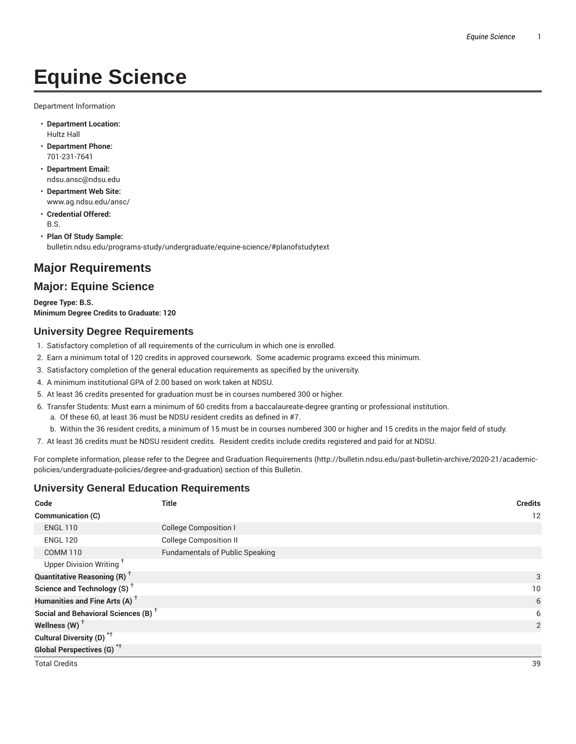# **Equine Science**

Department Information

- **Department Location:** Hultz Hall
- **Department Phone:** 701-231-7641
- **Department Email:** ndsu.ansc@ndsu.edu
- **Department Web Site:** www.ag.ndsu.edu/ansc/
- **Credential Offered:** B.S.
- **Plan Of Study Sample:** bulletin.ndsu.edu/programs-study/undergraduate/equine-science/#planofstudytext

# **Major Requirements**

## **Major: Equine Science**

**Degree Type: B.S. Minimum Degree Credits to Graduate: 120**

## **University Degree Requirements**

- 1. Satisfactory completion of all requirements of the curriculum in which one is enrolled.
- 2. Earn a minimum total of 120 credits in approved coursework. Some academic programs exceed this minimum.
- 3. Satisfactory completion of the general education requirements as specified by the university.
- 4. A minimum institutional GPA of 2.00 based on work taken at NDSU.
- 5. At least 36 credits presented for graduation must be in courses numbered 300 or higher.
- 6. Transfer Students: Must earn a minimum of 60 credits from a baccalaureate-degree granting or professional institution.
	- a. Of these 60, at least 36 must be NDSU resident credits as defined in #7.
	- b. Within the 36 resident credits, a minimum of 15 must be in courses numbered 300 or higher and 15 credits in the major field of study.
- 7. At least 36 credits must be NDSU resident credits. Resident credits include credits registered and paid for at NDSU.

For complete information, please refer to the Degree and Graduation Requirements (http://bulletin.ndsu.edu/past-bulletin-archive/2020-21/academicpolicies/undergraduate-policies/degree-and-graduation) section of this Bulletin.

## **University General Education Requirements**

| Code                                            | <b>Title</b>                           | <b>Credits</b> |
|-------------------------------------------------|----------------------------------------|----------------|
| Communication (C)                               |                                        | 12             |
| <b>ENGL 110</b>                                 | <b>College Composition I</b>           |                |
| <b>ENGL 120</b>                                 | <b>College Composition II</b>          |                |
| <b>COMM 110</b>                                 | <b>Fundamentals of Public Speaking</b> |                |
| Upper Division Writing <sup>+</sup>             |                                        |                |
| <b>Quantitative Reasoning (R)</b> <sup>+</sup>  |                                        | 3              |
| Science and Technology (S) <sup>+</sup>         |                                        | 10             |
| Humanities and Fine Arts (A) <sup>+</sup>       |                                        | 6              |
| Social and Behavioral Sciences (B) <sup>+</sup> |                                        | 6              |
| Wellness $(W)$ <sup>+</sup>                     |                                        | $\overline{2}$ |
| Cultural Diversity (D) <sup>*†</sup>            |                                        |                |
| <b>Global Perspectives (G)</b> <sup>*†</sup>    |                                        |                |
| <b>Total Credits</b>                            |                                        | 39             |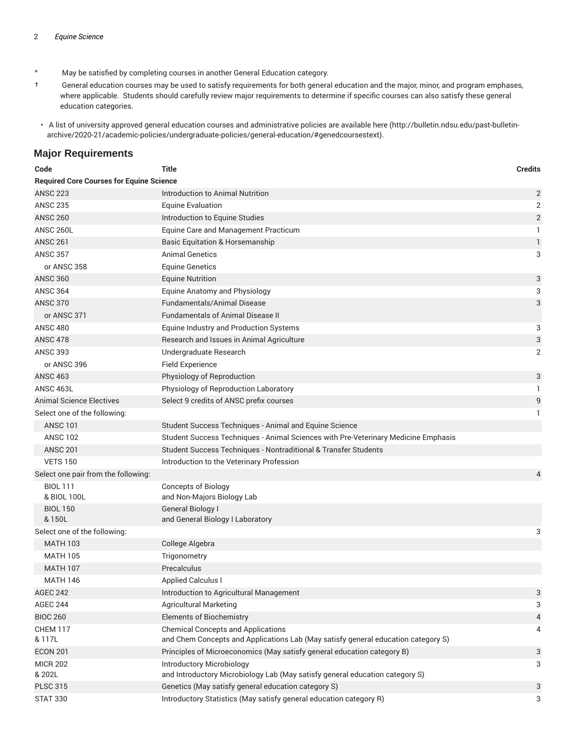- \* May be satisfied by completing courses in another General Education category.
- † General education courses may be used to satisfy requirements for both general education and the major, minor, and program emphases, where applicable. Students should carefully review major requirements to determine if specific courses can also satisfy these general education categories.
- A list of university approved general education courses and administrative policies are available here (http://bulletin.ndsu.edu/past-bulletinarchive/2020-21/academic-policies/undergraduate-policies/general-education/#genedcoursestext).

#### **Major Requirements**

| Code                                            | <b>Title</b>                                                                       | <b>Credits</b> |  |  |
|-------------------------------------------------|------------------------------------------------------------------------------------|----------------|--|--|
| <b>Required Core Courses for Equine Science</b> |                                                                                    |                |  |  |
| <b>ANSC 223</b>                                 | Introduction to Animal Nutrition                                                   | 2              |  |  |
| <b>ANSC 235</b>                                 | <b>Equine Evaluation</b>                                                           | 2              |  |  |
| <b>ANSC 260</b>                                 | Introduction to Equine Studies                                                     | $\sqrt{2}$     |  |  |
| ANSC 260L                                       | Equine Care and Management Practicum                                               | 1              |  |  |
| <b>ANSC 261</b>                                 | <b>Basic Equitation &amp; Horsemanship</b>                                         | $\mathbf{1}$   |  |  |
| <b>ANSC 357</b>                                 | <b>Animal Genetics</b>                                                             | 3              |  |  |
| or ANSC 358                                     | <b>Equine Genetics</b>                                                             |                |  |  |
| <b>ANSC 360</b>                                 | <b>Equine Nutrition</b>                                                            | 3              |  |  |
| <b>ANSC 364</b>                                 | Equine Anatomy and Physiology                                                      | 3              |  |  |
| <b>ANSC 370</b>                                 | Fundamentals/Animal Disease                                                        | 3              |  |  |
| or ANSC 371                                     | <b>Fundamentals of Animal Disease II</b>                                           |                |  |  |
| <b>ANSC 480</b>                                 | Equine Industry and Production Systems                                             | 3              |  |  |
| <b>ANSC 478</b>                                 | Research and Issues in Animal Agriculture                                          | 3              |  |  |
| <b>ANSC 393</b>                                 | Undergraduate Research                                                             | 2              |  |  |
| or ANSC 396                                     | Field Experience                                                                   |                |  |  |
| <b>ANSC 463</b>                                 | Physiology of Reproduction                                                         | 3              |  |  |
| ANSC 463L                                       | Physiology of Reproduction Laboratory                                              | 1              |  |  |
| <b>Animal Science Electives</b>                 | Select 9 credits of ANSC prefix courses                                            | 9              |  |  |
| Select one of the following:                    |                                                                                    | $\mathbf{1}$   |  |  |
| <b>ANSC 101</b>                                 | Student Success Techniques - Animal and Equine Science                             |                |  |  |
| <b>ANSC 102</b>                                 | Student Success Techniques - Animal Sciences with Pre-Veterinary Medicine Emphasis |                |  |  |
| <b>ANSC 201</b>                                 | Student Success Techniques - Nontraditional & Transfer Students                    |                |  |  |
| <b>VETS 150</b>                                 | Introduction to the Veterinary Profession                                          |                |  |  |
| Select one pair from the following:             |                                                                                    | 4              |  |  |
| <b>BIOL 111</b>                                 | <b>Concepts of Biology</b>                                                         |                |  |  |
| & BIOL 100L                                     | and Non-Majors Biology Lab                                                         |                |  |  |
| <b>BIOL 150</b><br>& 150L                       | General Biology I<br>and General Biology I Laboratory                              |                |  |  |
| Select one of the following:                    |                                                                                    | 3              |  |  |
| <b>MATH 103</b>                                 | College Algebra                                                                    |                |  |  |
| <b>MATH 105</b>                                 | Trigonometry                                                                       |                |  |  |
| <b>MATH 107</b>                                 | Precalculus                                                                        |                |  |  |
| <b>MATH 146</b>                                 | <b>Applied Calculus I</b>                                                          |                |  |  |
| <b>AGEC 242</b>                                 | Introduction to Agricultural Management                                            | 3              |  |  |
| <b>AGEC 244</b>                                 | <b>Agricultural Marketing</b>                                                      | 3              |  |  |
| <b>BIOC 260</b>                                 | <b>Elements of Biochemistry</b>                                                    | 4              |  |  |
| CHEM 117                                        | <b>Chemical Concepts and Applications</b>                                          | 4              |  |  |
| & 117L                                          | and Chem Concepts and Applications Lab (May satisfy general education category S)  |                |  |  |
| <b>ECON 201</b>                                 | Principles of Microeconomics (May satisfy general education category B)            | 3              |  |  |
| <b>MICR 202</b>                                 | <b>Introductory Microbiology</b>                                                   | 3              |  |  |
| & 202L                                          | and Introductory Microbiology Lab (May satisfy general education category S)       |                |  |  |
| <b>PLSC 315</b>                                 | Genetics (May satisfy general education category S)                                | 3              |  |  |
| <b>STAT 330</b>                                 | Introductory Statistics (May satisfy general education category R)                 | 3              |  |  |